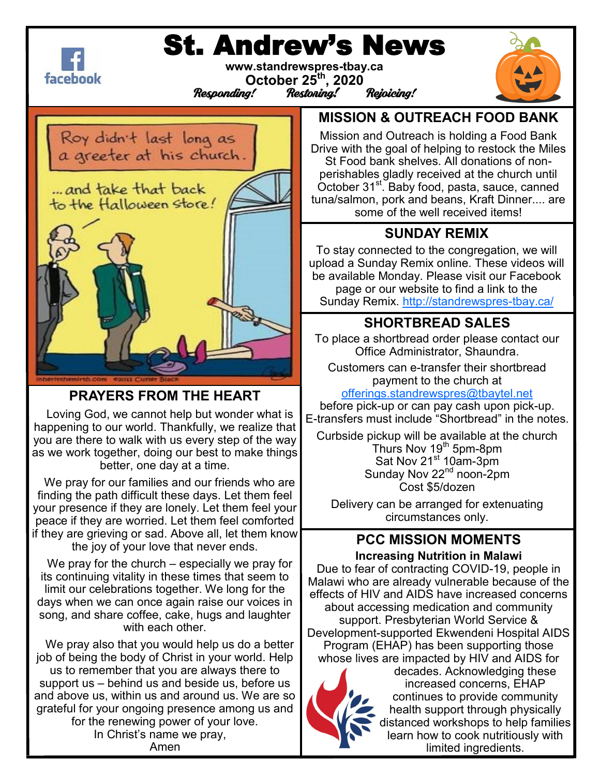

# St. Andrew's News

**www.standrewspres-tbay.ca Calculations**<br>
October 25<sup>th</sup>, 2020<br> *Responding!* Restoning! Rejoicing!



**PRAYERS FROM THE HEART**

 Loving God, we cannot help but wonder what is happening to our world. Thankfully, we realize that you are there to walk with us every step of the way as we work together, doing our best to make things better, one day at a time.

 We pray for our families and our friends who are finding the path difficult these days. Let them feel your presence if they are lonely. Let them feel your peace if they are worried. Let them feel comforted if they are grieving or sad. Above all, let them know the joy of your love that never ends.

We pray for the church – especially we pray for its continuing vitality in these times that seem to limit our celebrations together. We long for the days when we can once again raise our voices in song, and share coffee, cake, hugs and laughter with each other.

 We pray also that you would help us do a better job of being the body of Christ in your world. Help us to remember that you are always there to support us – behind us and beside us, before us and above us, within us and around us. We are so grateful for your ongoing presence among us and for the renewing power of your love. In Christ's name we pray, Amen

## **MISSION & OUTREACH FOOD BANK**

Mission and Outreach is holding a Food Bank Drive with the goal of helping to restock the Miles St Food bank shelves. All donations of nonperishables gladly received at the church until October 31<sup>st</sup>. Baby food, pasta, sauce, canned tuna/salmon, pork and beans, Kraft Dinner.... are some of the well received items!

## **SUNDAY REMIX**

To stay connected to the congregation, we will upload a Sunday Remix online. These videos will be available Monday. Please visit our Facebook page or our website to find a link to the Sunday Remix. [http://standrewspres](http://standrewspres-tbay.ca/)-tbay.ca/

## **SHORTBREAD SALES**

To place a shortbread order please contact our Office Administrator, Shaundra.

Customers can e-transfer their shortbread payment to the church at

[offerings.standrewspres@tbaytel.net](mailto:offerings.standrewspres@tbaytel.net)

before pick-up or can pay cash upon pick-up. E-transfers must include "Shortbread" in the notes.

Curbside pickup will be available at the church Thurs Nov 19<sup>th</sup> 5pm-8pm Sat Nov 21<sup>st</sup> 10am-3pm Sunday Nov 22<sup>nd</sup> noon-2pm Cost \$5/dozen

Delivery can be arranged for extenuating circumstances only.

#### **PCC MISSION MOMENTS Increasing Nutrition in Malawi**

Due to fear of contracting COVID-19, people in Malawi who are already vulnerable because of the effects of HIV and AIDS have increased concerns about accessing medication and community support. Presbyterian World Service & Development-supported Ekwendeni Hospital AIDS Program (EHAP) has been supporting those whose lives are impacted by HIV and AIDS for



decades. Acknowledging these increased concerns, EHAP continues to provide community health support through physically distanced workshops to help families learn how to cook nutritiously with limited ingredients.